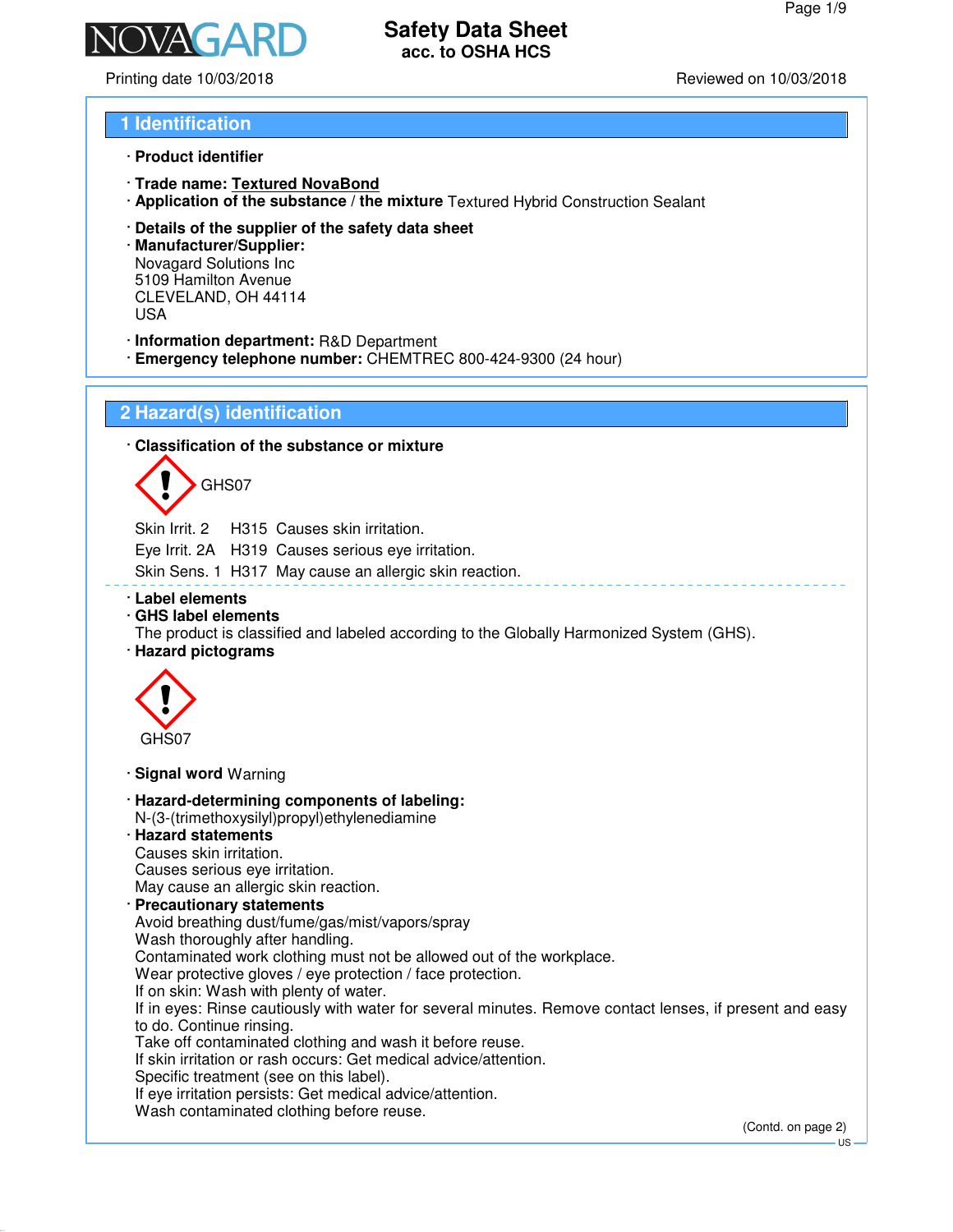# **Safety Data Sheet**

Printing date 10/03/2018 Reviewed on 10/03/2018

### **1 Identification**

- · **Product identifier**
- · **Trade name: Textured NovaBond**
- · **Application of the substance / the mixture** Textured Hybrid Construction Sealant

**acc. to OSHA HCS**

· **Details of the supplier of the safety data sheet**

· **Manufacturer/Supplier:** Novagard Solutions Inc 5109 Hamilton Avenue CLEVELAND, OH 44114 USA

- · **Information department:** R&D Department
- · **Emergency telephone number:** CHEMTREC 800-424-9300 (24 hour)

### **2 Hazard(s) identification**

· **Classification of the substance or mixture**



Skin Irrit. 2 H315 Causes skin irritation. Eye Irrit. 2A H319 Causes serious eye irritation. Skin Sens. 1 H317 May cause an allergic skin reaction.

- · **Label elements**
- · **GHS label elements**
- The product is classified and labeled according to the Globally Harmonized System (GHS).
- · **Hazard pictograms**



- · **Signal word** Warning
- · **Hazard-determining components of labeling:** N-(3-(trimethoxysilyl)propyl)ethylenediamine
- · **Hazard statements** Causes skin irritation. Causes serious eye irritation. May cause an allergic skin reaction.
- · **Precautionary statements** Avoid breathing dust/fume/gas/mist/vapors/spray Wash thoroughly after handling.

Contaminated work clothing must not be allowed out of the workplace.

Wear protective gloves / eye protection / face protection.

If on skin: Wash with plenty of water.

If in eyes: Rinse cautiously with water for several minutes. Remove contact lenses, if present and easy to do. Continue rinsing.

Take off contaminated clothing and wash it before reuse.

If skin irritation or rash occurs: Get medical advice/attention.

Specific treatment (see on this label).

If eye irritation persists: Get medical advice/attention.

Wash contaminated clothing before reuse.

(Contd. on page 2)

US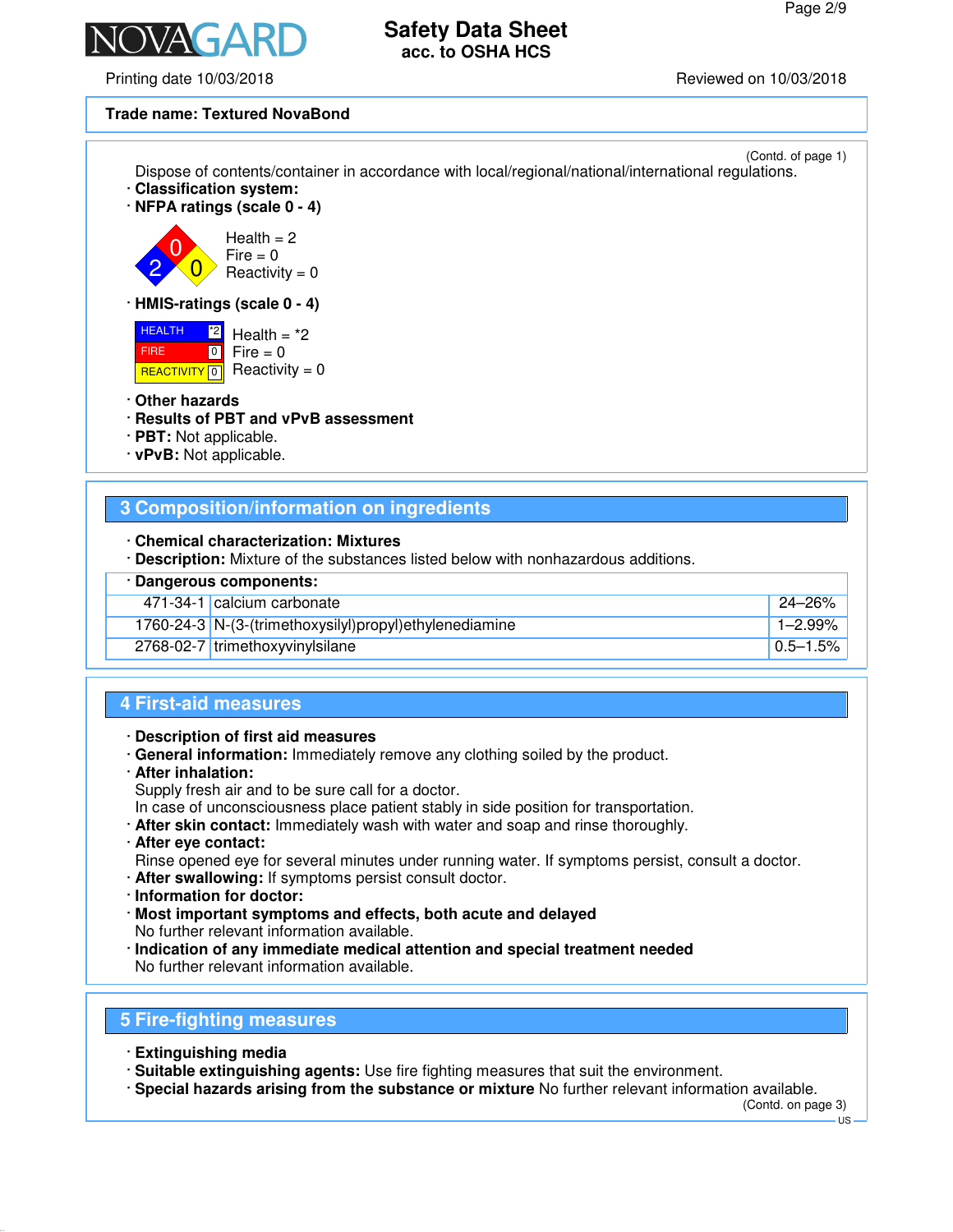

Printing date 10/03/2018 Reviewed on 10/03/2018

### **Trade name: Textured NovaBond**

| Dispose of contents/container in accordance with local/regional/national/international regulations.<br>Classification system:<br>$\cdot$ NFPA ratings (scale 0 - 4) | (Contd. of page 1) |
|---------------------------------------------------------------------------------------------------------------------------------------------------------------------|--------------------|
| Health $= 2$<br>$Fire = 0$<br>Reactivity = $0$                                                                                                                      |                    |
| $\cdot$ HMIS-ratings (scale 0 - 4)                                                                                                                                  |                    |
| <b>HEALTH</b><br>$^*2$<br>Health $=$ $*2$<br>$Fire = 0$<br> 0 <br><b>FIRE</b><br>$Reactivity = 0$<br><b>REACTIVITY</b> 0                                            |                    |

### · **Other hazards**

- · **Results of PBT and vPvB assessment**
- · **PBT:** Not applicable.
- · **vPvB:** Not applicable.

### **3 Composition/information on ingredients**

- · **Chemical characterization: Mixtures**
- · **Description:** Mixture of the substances listed below with nonhazardous additions.

### · **Dangerous components:**

| 471-34-1 calcium carbonate                               | $^{\circ}$ 24-26% |
|----------------------------------------------------------|-------------------|
| $1760-24-3$ N-(3-(trimethoxysilyl)propyl)ethylenediamine | 1-2.99%           |
| 2768-02-7 trimethoxyvinylsilane                          | $ 0.5 - 1.5\% $   |

### **4 First-aid measures**

- · **Description of first aid measures**
- · **General information:** Immediately remove any clothing soiled by the product.
- · **After inhalation:**
- Supply fresh air and to be sure call for a doctor.

In case of unconsciousness place patient stably in side position for transportation.

- · **After skin contact:** Immediately wash with water and soap and rinse thoroughly.
- · **After eye contact:**

Rinse opened eye for several minutes under running water. If symptoms persist, consult a doctor.

- · **After swallowing:** If symptoms persist consult doctor.
- · **Information for doctor:**
- · **Most important symptoms and effects, both acute and delayed** No further relevant information available.
- · **Indication of any immediate medical attention and special treatment needed** No further relevant information available.

### **5 Fire-fighting measures**

- · **Extinguishing media**
- · **Suitable extinguishing agents:** Use fire fighting measures that suit the environment.
- · **Special hazards arising from the substance or mixture** No further relevant information available.

(Contd. on page 3)

US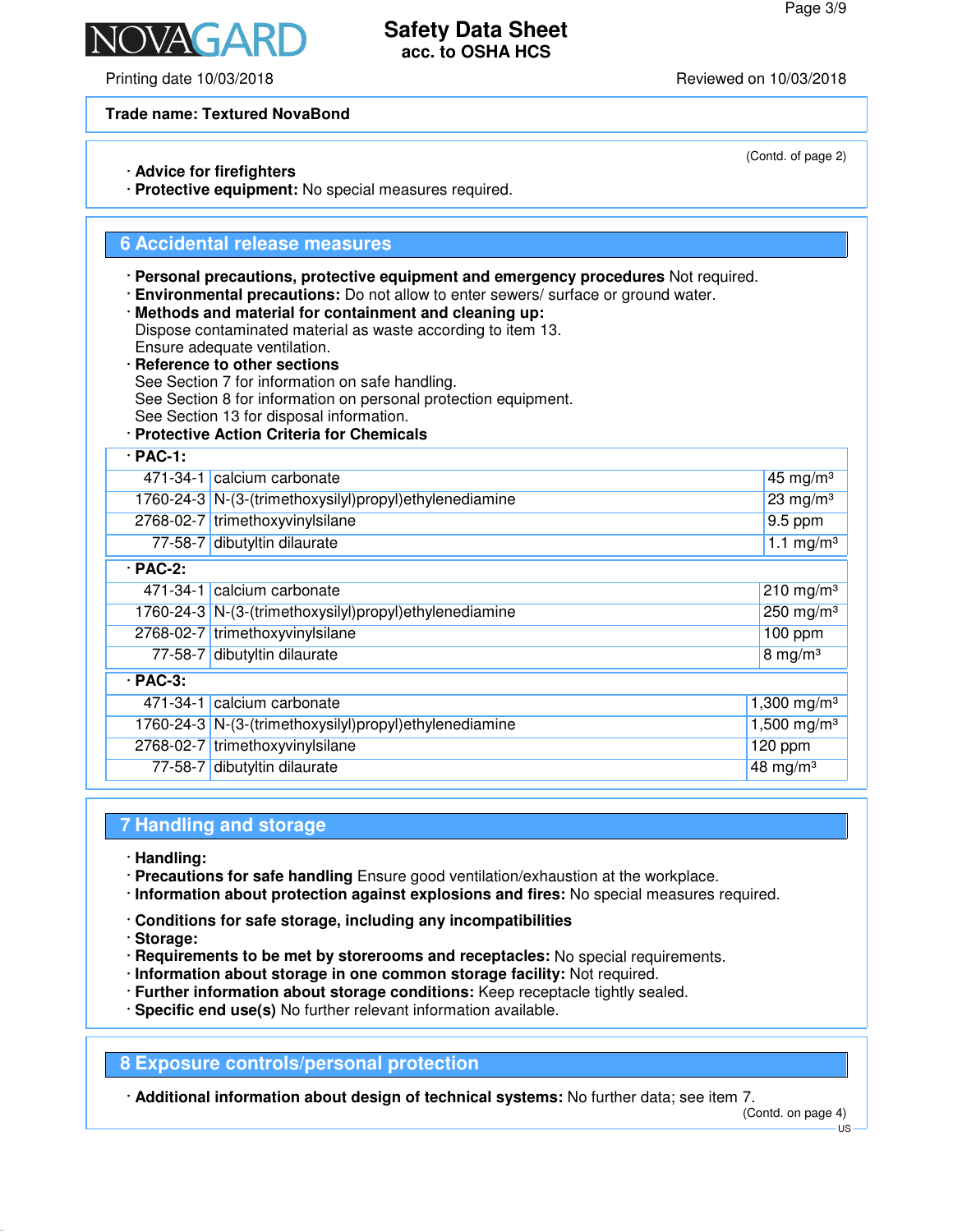(Contd. of page 2)

# **Safety Data Sheet acc. to OSHA HCS**

Printing date 10/03/2018 Reviewed on 10/03/2018

N/AY

**Trade name: Textured NovaBond**

· **Advice for firefighters**

· **Protective equipment:** No special measures required.

### **6 Accidental release measures**

- · **Personal precautions, protective equipment and emergency procedures** Not required.
- · **Environmental precautions:** Do not allow to enter sewers/ surface or ground water.
- · **Methods and material for containment and cleaning up:** Dispose contaminated material as waste according to item 13. Ensure adequate ventilation.
- · **Reference to other sections** See Section 7 for information on safe handling. See Section 8 for information on personal protection equipment. See Section 13 for disposal information.
- · **Protective Action Criteria for Chemicals**

| $·$ PAC-1:     |                                                        |                         |  |
|----------------|--------------------------------------------------------|-------------------------|--|
|                | 471-34-1 calcium carbonate                             | 45 mg/m $3$             |  |
|                | 1760-24-3 N-(3-(trimethoxysilyl)propyl)ethylenediamine | $23$ mg/m <sup>3</sup>  |  |
|                | 2768-02-7 trimethoxyvinylsilane                        | $9.5$ ppm               |  |
|                | 77-58-7 dibutyltin dilaurate                           | $1.1 \text{ mg/m}^3$    |  |
| $\cdot$ PAC-2: |                                                        |                         |  |
|                | 471-34-1 calcium carbonate                             | $210$ mg/m <sup>3</sup> |  |
|                | 1760-24-3 N-(3-(trimethoxysilyl)propyl)ethylenediamine | $250$ mg/m <sup>3</sup> |  |
|                | 2768-02-7 trimethoxyvinylsilane                        | $100$ ppm               |  |
|                | 77-58-7 dibutyltin dilaurate                           | 8 mg/m $3$              |  |
| $·$ PAC-3:     |                                                        |                         |  |
|                | 471-34-1 calcium carbonate                             | 1,300 mg/m <sup>3</sup> |  |
|                | 1760-24-3 N-(3-(trimethoxysilyl)propyl)ethylenediamine | 1,500 mg/m <sup>3</sup> |  |
|                | 2768-02-7 trimethoxyvinylsilane                        | $120$ ppm               |  |
|                | 77-58-7 dibutyltin dilaurate                           | 48 mg/m $3$             |  |
|                |                                                        |                         |  |

# **7 Handling and storage**

- · **Handling:**
- · **Precautions for safe handling** Ensure good ventilation/exhaustion at the workplace.
- · **Information about protection against explosions and fires:** No special measures required.
- · **Conditions for safe storage, including any incompatibilities**
- · **Storage:**
- · **Requirements to be met by storerooms and receptacles:** No special requirements.
- · **Information about storage in one common storage facility:** Not required.
- · **Further information about storage conditions:** Keep receptacle tightly sealed.
- · **Specific end use(s)** No further relevant information available.

**8 Exposure controls/personal protection**

· **Additional information about design of technical systems:** No further data; see item 7.

(Contd. on page 4)

US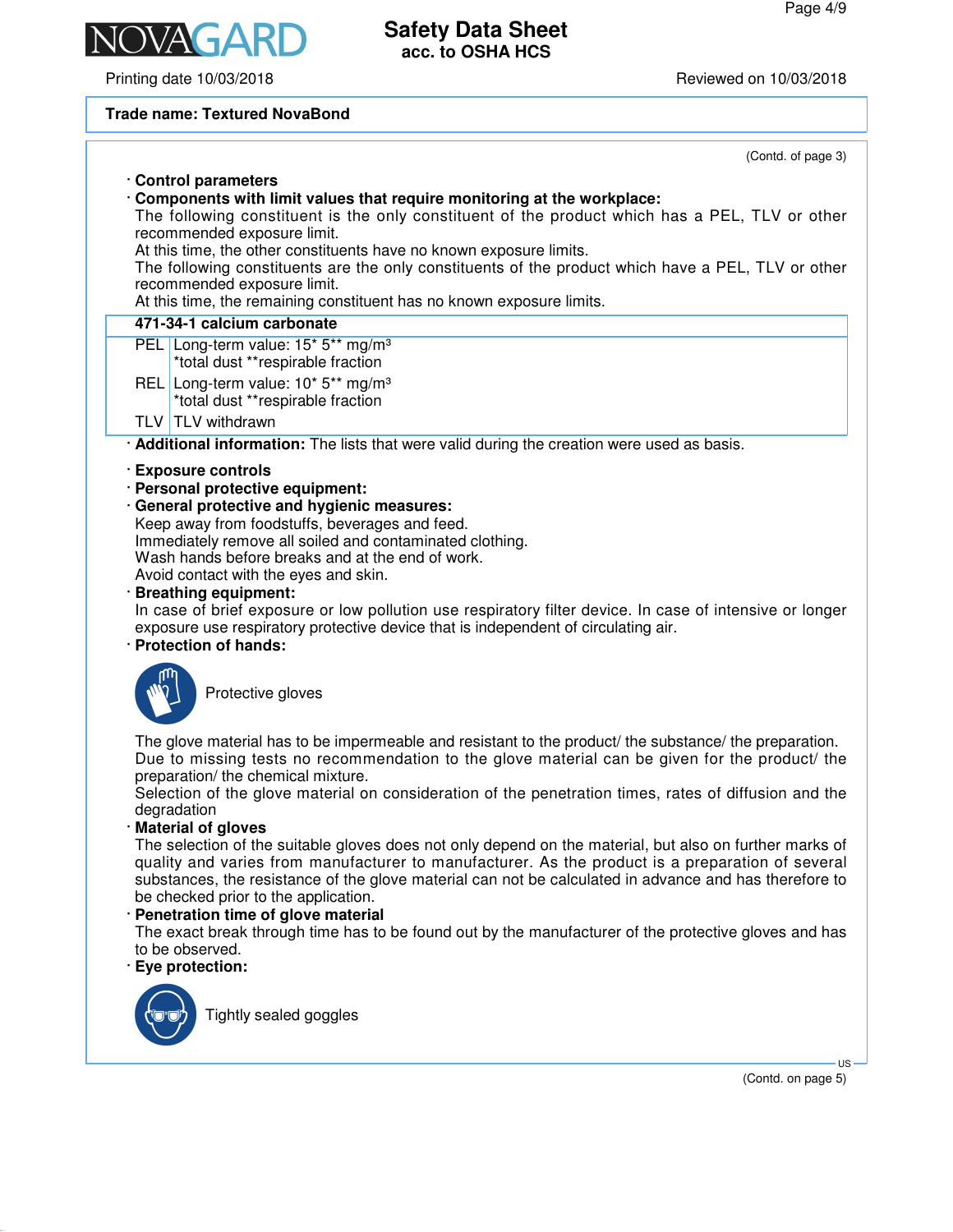Printing date 10/03/2018 Reviewed on 10/03/2018

### **Trade name: Textured NovaBond**

(Contd. of page 3) · **Control parameters** · **Components with limit values that require monitoring at the workplace:** The following constituent is the only constituent of the product which has a PEL, TLV or other recommended exposure limit. At this time, the other constituents have no known exposure limits. The following constituents are the only constituents of the product which have a PEL, TLV or other recommended exposure limit. At this time, the remaining constituent has no known exposure limits. **471-34-1 calcium carbonate** PEL Long-term value: 15\* 5\*\* mg/m<sup>3</sup> \*total dust \*\*respirable fraction REL Long-term value: 10<sup>\*</sup> 5<sup>\*\*</sup> mg/m<sup>3</sup> \*total dust \*\*respirable fraction TLV | TLV withdrawn · **Additional information:** The lists that were valid during the creation were used as basis. · **Exposure controls** · **Personal protective equipment:** · **General protective and hygienic measures:** Keep away from foodstuffs, beverages and feed. Immediately remove all soiled and contaminated clothing. Wash hands before breaks and at the end of work. Avoid contact with the eyes and skin. · **Breathing equipment:** In case of brief exposure or low pollution use respiratory filter device. In case of intensive or longer exposure use respiratory protective device that is independent of circulating air. · **Protection of hands:** Protective gloves The glove material has to be impermeable and resistant to the product/ the substance/ the preparation. Due to missing tests no recommendation to the glove material can be given for the product/ the preparation/ the chemical mixture. Selection of the glove material on consideration of the penetration times, rates of diffusion and the degradation · **Material of gloves** The selection of the suitable gloves does not only depend on the material, but also on further marks of quality and varies from manufacturer to manufacturer. As the product is a preparation of several substances, the resistance of the glove material can not be calculated in advance and has therefore to be checked prior to the application. · **Penetration time of glove material** The exact break through time has to be found out by the manufacturer of the protective gloves and has to be observed. · **Eye protection:** Tightly sealed goggles

> US (Contd. on page 5)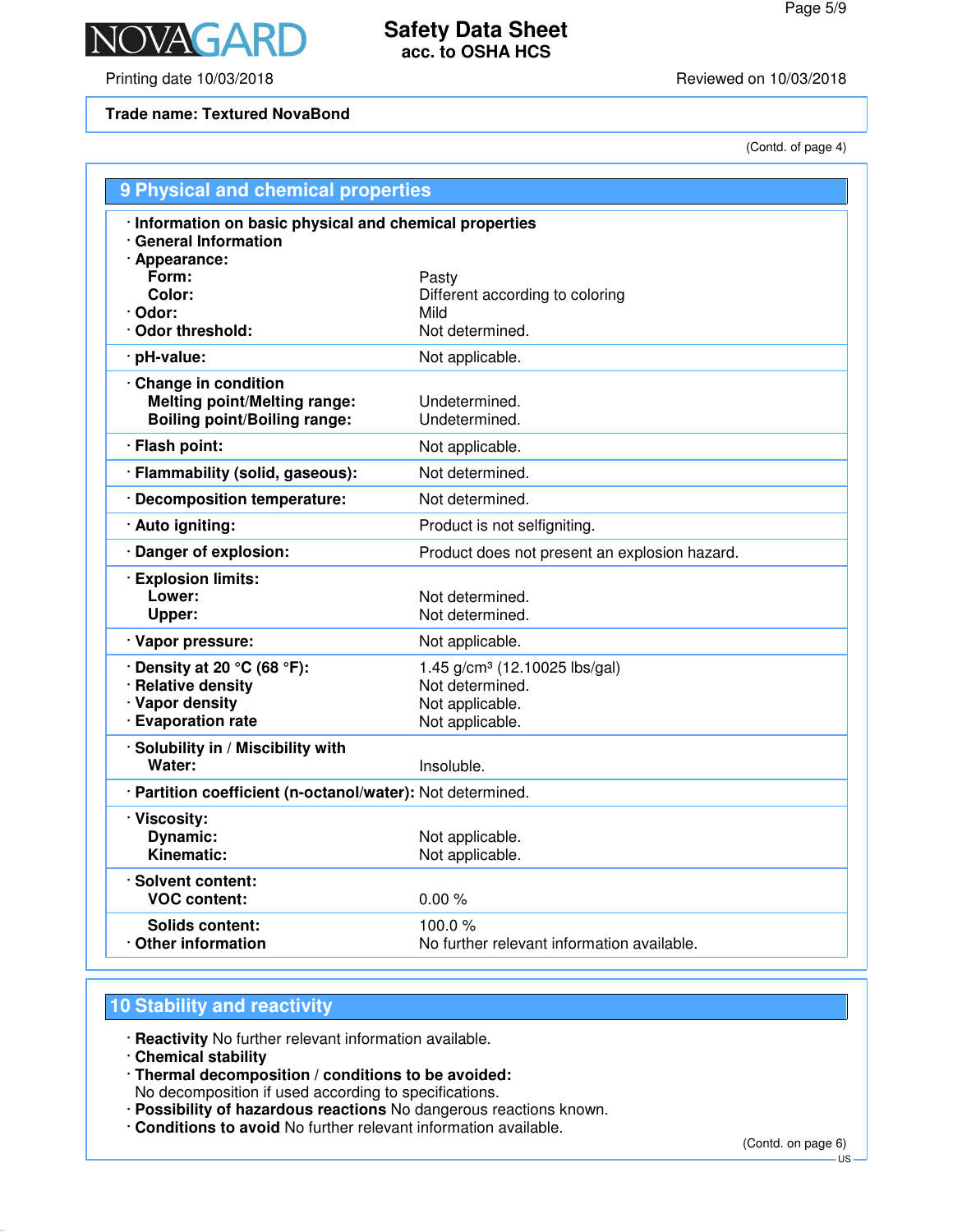

Printing date 10/03/2018 **Printing date 10/03/2018** 

**Trade name: Textured NovaBond**

(Contd. of page 4)

| 9 Physical and chemical properties                                                                |                                                      |
|---------------------------------------------------------------------------------------------------|------------------------------------------------------|
| · Information on basic physical and chemical properties<br>· General Information<br>· Appearance: |                                                      |
| Form:                                                                                             | Pasty                                                |
| Color:                                                                                            | Different according to coloring                      |
| · Odor:<br>· Odor threshold:                                                                      | Mild<br>Not determined.                              |
| · pH-value:                                                                                       | Not applicable.                                      |
|                                                                                                   |                                                      |
| Change in condition<br><b>Melting point/Melting range:</b><br><b>Boiling point/Boiling range:</b> | Undetermined.<br>Undetermined.                       |
| · Flash point:                                                                                    | Not applicable.                                      |
| · Flammability (solid, gaseous):                                                                  | Not determined.                                      |
| · Decomposition temperature:                                                                      | Not determined.                                      |
| · Auto igniting:                                                                                  | Product is not selfigniting.                         |
| · Danger of explosion:                                                                            | Product does not present an explosion hazard.        |
| · Explosion limits:<br>Lower:<br>Upper:                                                           | Not determined.<br>Not determined.                   |
| · Vapor pressure:                                                                                 | Not applicable.                                      |
| $\cdot$ Density at 20 °C (68 °F):                                                                 | 1.45 g/cm <sup>3</sup> (12.10025 lbs/gal)            |
| · Relative density                                                                                | Not determined.                                      |
| · Vapor density                                                                                   | Not applicable.                                      |
| · Evaporation rate                                                                                | Not applicable.                                      |
| · Solubility in / Miscibility with<br>Water:                                                      | Insoluble.                                           |
| · Partition coefficient (n-octanol/water): Not determined.                                        |                                                      |
| · Viscosity:<br><b>Dynamic:</b><br>Kinematic:                                                     | Not applicable.<br>Not applicable.                   |
| · Solvent content:<br><b>VOC content:</b>                                                         | 0.00%                                                |
| Solids content:<br>Other information                                                              | 100.0%<br>No further relevant information available. |

# **10 Stability and reactivity**

· **Reactivity** No further relevant information available.

- · **Chemical stability**
- · **Thermal decomposition / conditions to be avoided:** No decomposition if used according to specifications.
- · **Possibility of hazardous reactions** No dangerous reactions known.
- · **Conditions to avoid** No further relevant information available.

(Contd. on page 6)

US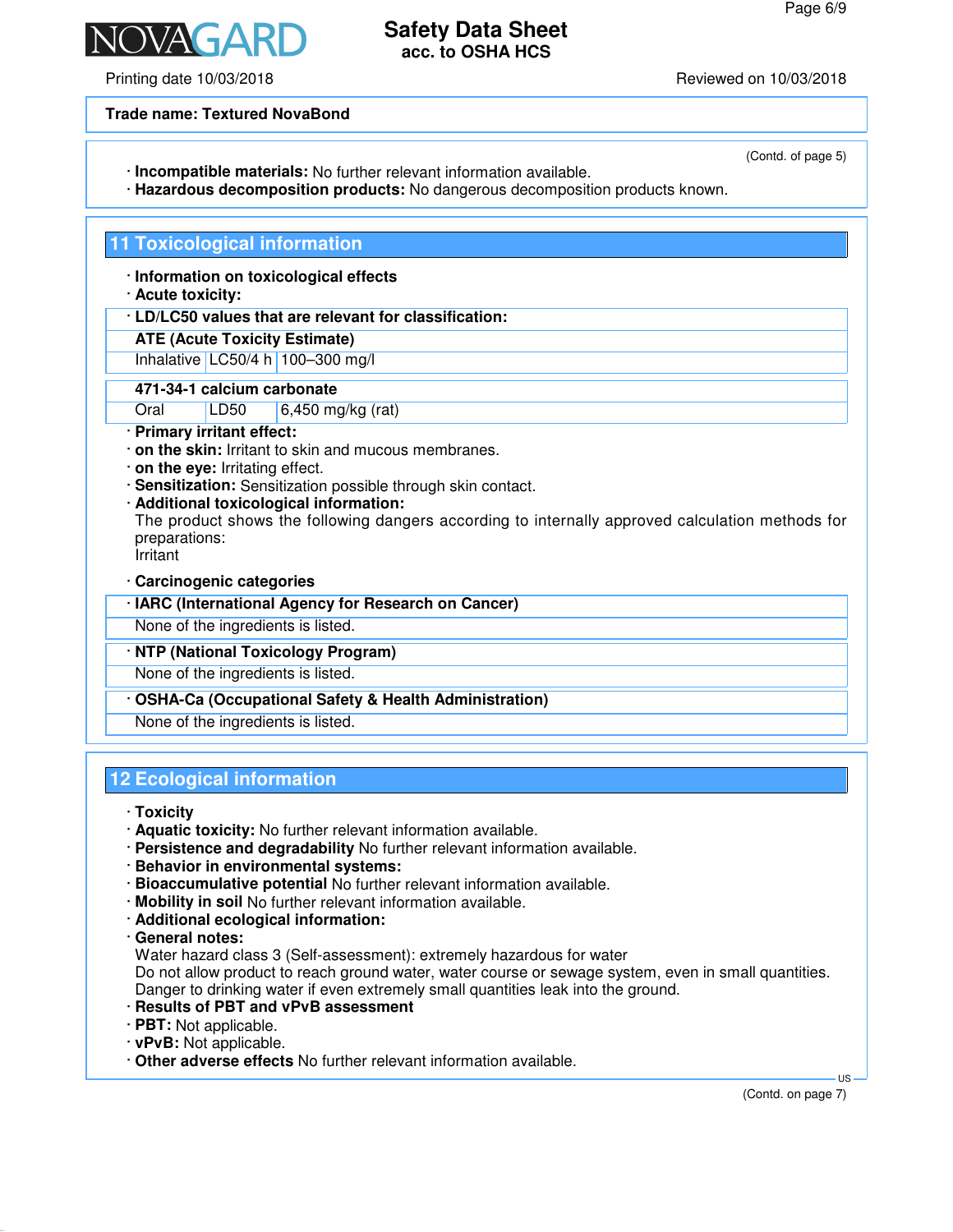Printing date 10/03/2018 Reviewed on 10/03/2018

**Trade name: Textured NovaBond**

- · **Incompatible materials:** No further relevant information available.
- · **Hazardous decomposition products:** No dangerous decomposition products known.

### **11 Toxicological information**

· **Information on toxicological effects**

### · **Acute toxicity:**

- · **LD/LC50 values that are relevant for classification:**
- **ATE (Acute Toxicity Estimate)**

Inhalative LC50/4 h 100–300 mg/l

### **471-34-1 calcium carbonate**

Oral LD50 6,450 mg/kg (rat)

- · **Primary irritant effect:**
- · **on the skin:** Irritant to skin and mucous membranes.
- · **on the eye:** Irritating effect.
- · **Sensitization:** Sensitization possible through skin contact.
- · **Additional toxicological information:**

The product shows the following dangers according to internally approved calculation methods for preparations:

Irritant

· **Carcinogenic categories**

| · IARC (International Agency for Research on Cancer)    |
|---------------------------------------------------------|
| None of the ingredients is listed.                      |
| · NTP (National Toxicology Program)                     |
| None of the ingredients is listed.                      |
| · OSHA-Ca (Occupational Safety & Health Administration) |

None of the ingredients is listed.

# **12 Ecological information**

· **Toxicity**

- · **Aquatic toxicity:** No further relevant information available.
- · **Persistence and degradability** No further relevant information available.
- · **Behavior in environmental systems:**
- · **Bioaccumulative potential** No further relevant information available.
- · **Mobility in soil** No further relevant information available.
- · **Additional ecological information:**
- · **General notes:**

Water hazard class 3 (Self-assessment): extremely hazardous for water

Do not allow product to reach ground water, water course or sewage system, even in small quantities. Danger to drinking water if even extremely small quantities leak into the ground.

- · **Results of PBT and vPvB assessment**
- · **PBT:** Not applicable.
- · **vPvB:** Not applicable.
- · **Other adverse effects** No further relevant information available.

US

(Contd. of page 5)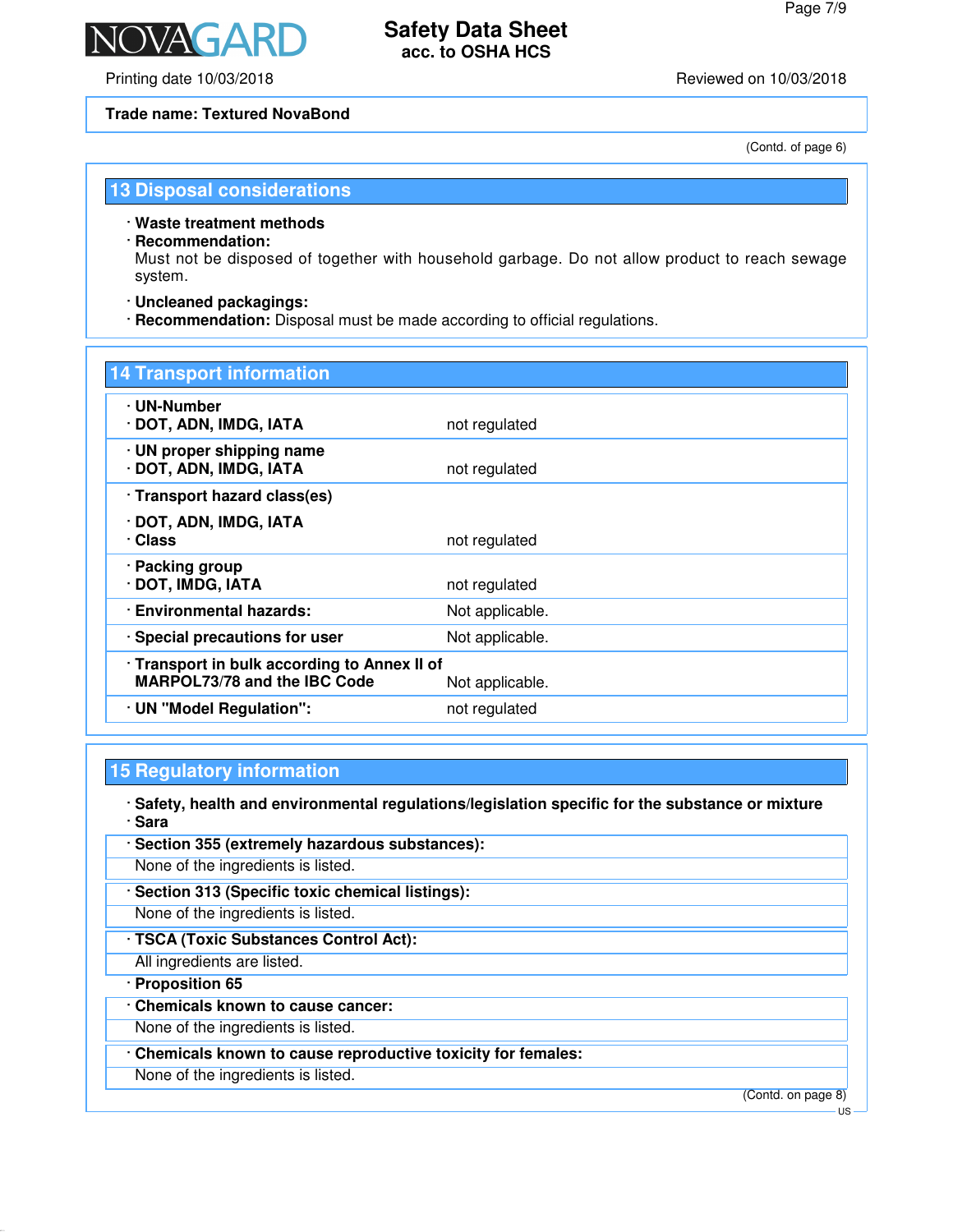

Printing date 10/03/2018 Reviewed on 10/03/2018

**NAGAR** 

### **Trade name: Textured NovaBond**

(Contd. of page 6)

### **13 Disposal considerations**

· **Waste treatment methods**

### · **Recommendation:**

Must not be disposed of together with household garbage. Do not allow product to reach sewage system.

- · **Uncleaned packagings:**
- · **Recommendation:** Disposal must be made according to official regulations.

| <b>14 Transport information</b>                                                     |                 |  |
|-------------------------------------------------------------------------------------|-----------------|--|
| · UN-Number<br>· DOT, ADN, IMDG, IATA                                               | not regulated   |  |
| · UN proper shipping name<br>· DOT, ADN, IMDG, IATA                                 | not regulated   |  |
| · Transport hazard class(es)                                                        |                 |  |
| · DOT, ADN, IMDG, IATA<br>· Class                                                   | not regulated   |  |
| · Packing group<br>· DOT, IMDG, IATA                                                | not regulated   |  |
| · Environmental hazards:                                                            | Not applicable. |  |
| · Special precautions for user                                                      | Not applicable. |  |
| · Transport in bulk according to Annex II of<br><b>MARPOL73/78 and the IBC Code</b> | Not applicable. |  |
| · UN "Model Regulation":                                                            | not regulated   |  |

# **15 Regulatory information**

· **Safety, health and environmental regulations/legislation specific for the substance or mixture** · **Sara**

· **Section 355 (extremely hazardous substances):** None of the ingredients is listed. · **Section 313 (Specific toxic chemical listings):** None of the ingredients is listed. · **TSCA (Toxic Substances Control Act):** All ingredients are listed. · **Proposition 65** · **Chemicals known to cause cancer:** None of the ingredients is listed. · **Chemicals known to cause reproductive toxicity for females:** None of the ingredients is listed. (Contd. on page 8)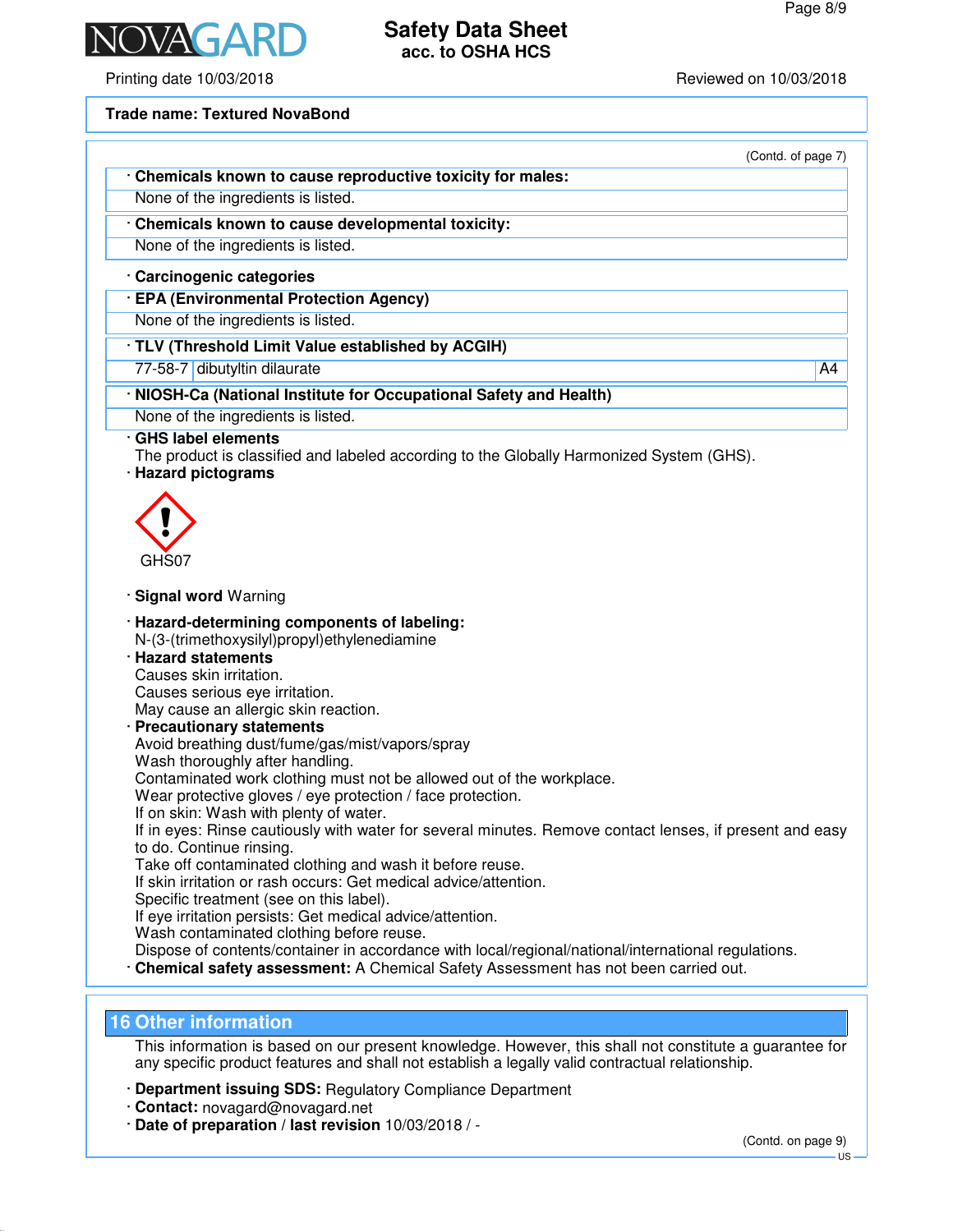

Printing date 10/03/2018 Reviewed on 10/03/2018

### **Trade name: Textured NovaBond**

| (Contd. of page 7) |  |  |  |
|--------------------|--|--|--|
|--------------------|--|--|--|

· **Chemicals known to cause reproductive toxicity for males:** None of the ingredients is listed.

· **Chemicals known to cause developmental toxicity:**

None of the ingredients is listed.

### · **Carcinogenic categories**

· **EPA (Environmental Protection Agency)**

None of the ingredients is listed.

- · **TLV (Threshold Limit Value established by ACGIH)**
- 77-58-7 dibutyltin dilaurate A4

### · **NIOSH-Ca (National Institute for Occupational Safety and Health)**

None of the ingredients is listed.

- · **GHS label elements**
- The product is classified and labeled according to the Globally Harmonized System (GHS).
- · **Hazard pictograms**



- · **Signal word** Warning
- · **Hazard-determining components of labeling:** N-(3-(trimethoxysilyl)propyl)ethylenediamine
- · **Hazard statements** Causes skin irritation. Causes serious eye irritation. May cause an allergic skin reaction.
- · **Precautionary statements** Avoid breathing dust/fume/gas/mist/vapors/spray Wash thoroughly after handling. Contaminated work clothing must not be allowed out of the workplace. Wear protective gloves / eye protection / face protection. If on skin: Wash with plenty of water. If in eyes: Rinse cautiously with water for several minutes. Remove contact lenses, if present and easy to do. Continue rinsing. Take off contaminated clothing and wash it before reuse. If skin irritation or rash occurs: Get medical advice/attention. Specific treatment (see on this label). If eye irritation persists: Get medical advice/attention. Wash contaminated clothing before reuse. Dispose of contents/container in accordance with local/regional/national/international regulations.
- · **Chemical safety assessment:** A Chemical Safety Assessment has not been carried out.

### **16 Other information**

This information is based on our present knowledge. However, this shall not constitute a guarantee for any specific product features and shall not establish a legally valid contractual relationship.

- · **Department issuing SDS:** Regulatory Compliance Department
- · **Contact:** novagard@novagard.net
- · **Date of preparation / last revision** 10/03/2018 / -

(Contd. on page 9)